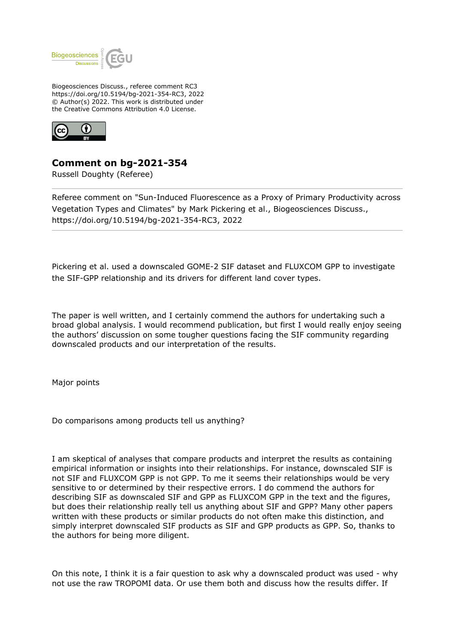

Biogeosciences Discuss., referee comment RC3 https://doi.org/10.5194/bg-2021-354-RC3, 2022 © Author(s) 2022. This work is distributed under the Creative Commons Attribution 4.0 License.



## **Comment on bg-2021-354**

Russell Doughty (Referee)

Referee comment on "Sun-Induced Fluorescence as a Proxy of Primary Productivity across Vegetation Types and Climates" by Mark Pickering et al., Biogeosciences Discuss., https://doi.org/10.5194/bg-2021-354-RC3, 2022

Pickering et al. used a downscaled GOME-2 SIF dataset and FLUXCOM GPP to investigate the SIF-GPP relationship and its drivers for different land cover types.

The paper is well written, and I certainly commend the authors for undertaking such a broad global analysis. I would recommend publication, but first I would really enjoy seeing the authors' discussion on some tougher questions facing the SIF community regarding downscaled products and our interpretation of the results.

Major points

Do comparisons among products tell us anything?

I am skeptical of analyses that compare products and interpret the results as containing empirical information or insights into their relationships. For instance, downscaled SIF is not SIF and FLUXCOM GPP is not GPP. To me it seems their relationships would be very sensitive to or determined by their respective errors. I do commend the authors for describing SIF as downscaled SIF and GPP as FLUXCOM GPP in the text and the figures, but does their relationship really tell us anything about SIF and GPP? Many other papers written with these products or similar products do not often make this distinction, and simply interpret downscaled SIF products as SIF and GPP products as GPP. So, thanks to the authors for being more diligent.

On this note, I think it is a fair question to ask why a downscaled product was used - why not use the raw TROPOMI data. Or use them both and discuss how the results differ. If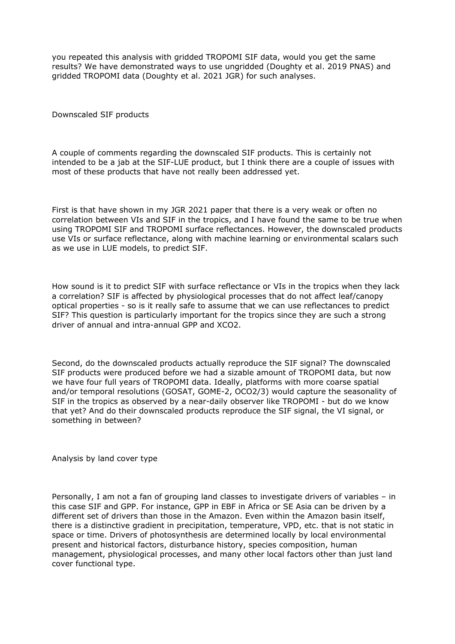you repeated this analysis with gridded TROPOMI SIF data, would you get the same results? We have demonstrated ways to use ungridded (Doughty et al. 2019 PNAS) and gridded TROPOMI data (Doughty et al. 2021 JGR) for such analyses.

Downscaled SIF products

A couple of comments regarding the downscaled SIF products. This is certainly not intended to be a jab at the SIF-LUE product, but I think there are a couple of issues with most of these products that have not really been addressed yet.

First is that have shown in my JGR 2021 paper that there is a very weak or often no correlation between VIs and SIF in the tropics, and I have found the same to be true when using TROPOMI SIF and TROPOMI surface reflectances. However, the downscaled products use VIs or surface reflectance, along with machine learning or environmental scalars such as we use in LUE models, to predict SIF.

How sound is it to predict SIF with surface reflectance or VIs in the tropics when they lack a correlation? SIF is affected by physiological processes that do not affect leaf/canopy optical properties - so is it really safe to assume that we can use reflectances to predict SIF? This question is particularly important for the tropics since they are such a strong driver of annual and intra-annual GPP and XCO2.

Second, do the downscaled products actually reproduce the SIF signal? The downscaled SIF products were produced before we had a sizable amount of TROPOMI data, but now we have four full years of TROPOMI data. Ideally, platforms with more coarse spatial and/or temporal resolutions (GOSAT, GOME-2, OCO2/3) would capture the seasonality of SIF in the tropics as observed by a near-daily observer like TROPOMI - but do we know that yet? And do their downscaled products reproduce the SIF signal, the VI signal, or something in between?

Analysis by land cover type

Personally, I am not a fan of grouping land classes to investigate drivers of variables – in this case SIF and GPP. For instance, GPP in EBF in Africa or SE Asia can be driven by a different set of drivers than those in the Amazon. Even within the Amazon basin itself, there is a distinctive gradient in precipitation, temperature, VPD, etc. that is not static in space or time. Drivers of photosynthesis are determined locally by local environmental present and historical factors, disturbance history, species composition, human management, physiological processes, and many other local factors other than just land cover functional type.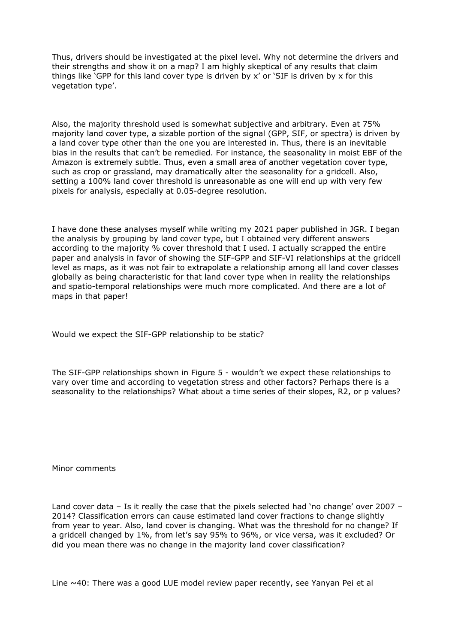Thus, drivers should be investigated at the pixel level. Why not determine the drivers and their strengths and show it on a map? I am highly skeptical of any results that claim things like 'GPP for this land cover type is driven by  $x'$  or 'SIF is driven by  $x$  for this vegetation type'.

Also, the majority threshold used is somewhat subjective and arbitrary. Even at 75% majority land cover type, a sizable portion of the signal (GPP, SIF, or spectra) is driven by a land cover type other than the one you are interested in. Thus, there is an inevitable bias in the results that can't be remedied. For instance, the seasonality in moist EBF of the Amazon is extremely subtle. Thus, even a small area of another vegetation cover type, such as crop or grassland, may dramatically alter the seasonality for a gridcell. Also, setting a 100% land cover threshold is unreasonable as one will end up with very few pixels for analysis, especially at 0.05-degree resolution.

I have done these analyses myself while writing my 2021 paper published in JGR. I began the analysis by grouping by land cover type, but I obtained very different answers according to the majority % cover threshold that I used. I actually scrapped the entire paper and analysis in favor of showing the SIF-GPP and SIF-VI relationships at the gridcell level as maps, as it was not fair to extrapolate a relationship among all land cover classes globally as being characteristic for that land cover type when in reality the relationships and spatio-temporal relationships were much more complicated. And there are a lot of maps in that paper!

Would we expect the SIF-GPP relationship to be static?

The SIF-GPP relationships shown in Figure 5 - wouldn't we expect these relationships to vary over time and according to vegetation stress and other factors? Perhaps there is a seasonality to the relationships? What about a time series of their slopes, R2, or p values?

Minor comments

Land cover data – Is it really the case that the pixels selected had 'no change' over 2007 – 2014? Classification errors can cause estimated land cover fractions to change slightly from year to year. Also, land cover is changing. What was the threshold for no change? If a gridcell changed by 1%, from let's say 95% to 96%, or vice versa, was it excluded? Or did you mean there was no change in the majority land cover classification?

Line  $\sim$ 40: There was a good LUE model review paper recently, see Yanyan Pei et al